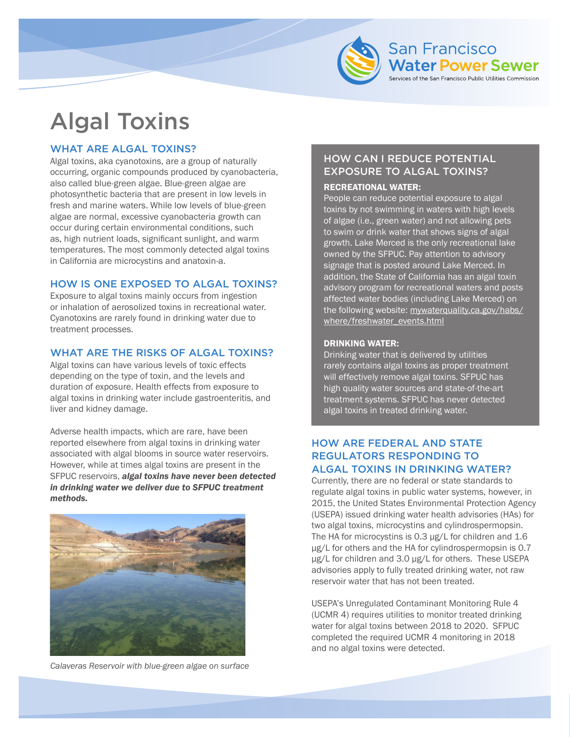

# Algal Toxins

## WHAT ARE ALGAL TOXINS?

Algal toxins, aka cyanotoxins, are a group of naturally occurring, organic compounds produced by cyanobacteria, also called blue-green algae. Blue-green algae are photosynthetic bacteria that are present in low levels in fresh and marine waters. While low levels of blue-green algae are normal, excessive cyanobacteria growth can occur during certain environmental conditions, such as, high nutrient loads, significant sunlight, and warm temperatures. The most commonly detected algal toxins in California are microcystins and anatoxin-a.

## HOW IS ONE EXPOSED TO ALGAL TOXINS?

Exposure to algal toxins mainly occurs from ingestion or inhalation of aerosolized toxins in recreational water. Cyanotoxins are rarely found in drinking water due to treatment processes.

## WHAT ARE THE RISKS OF ALGAL TOXINS?

Algal toxins can have various levels of toxic effects depending on the type of toxin, and the levels and duration of exposure. Health effects from exposure to algal toxins in drinking water include gastroenteritis, and liver and kidney damage.

Adverse health impacts, which are rare, have been reported elsewhere from algal toxins in drinking water associated with algal blooms in source water reservoirs. However, while at times algal toxins are present in the SFPUC reservoirs, *algal toxins have never been detected in drinking water we deliver due to SFPUC treatment methods.*



*Calaveras Reservoir with blue-green algae on surface*

# HOW CAN I REDUCE POTENTIAL EXPOSURE TO ALGAL TOXINS?

#### RECREATIONAL WATER:

People can reduce potential exposure to algal toxins by not swimming in waters with high levels of algae (i.e., green water) and not allowing pets to swim or drink water that shows signs of algal growth. Lake Merced is the only recreational lake owned by the SFPUC. Pay attention to advisory signage that is posted around Lake Merced. In addition, the State of California has an algal toxin advisory program for recreational waters and posts affected water bodies (including Lake Merced) on [the following website: mywaterquality.ca.gov/habs/](www.mywaterquality.ca.gov/habs/where/freshwater_events.html) where/freshwater\_events.html

#### DRINKING WATER:

Drinking water that is delivered by utilities rarely contains algal toxins as proper treatment will effectively remove algal toxins. SFPUC has high quality water sources and state-of-the-art treatment systems. SFPUC has never detected algal toxins in treated drinking water.

## HOW ARE FEDERAL AND STATE REGULATORS RESPONDING TO ALGAL TOXINS IN DRINKING WATER?

Currently, there are no federal or state standards to regulate algal toxins in public water systems, however, in 2015, the United States Environmental Protection Agency (USEPA) issued drinking water health advisories (HAs) for two algal toxins, microcystins and cylindrospermopsin. The HA for microcystins is 0.3 µg/L for children and 1.6 µg/L for others and the HA for cylindrospermopsin is 0.7 µg/L for children and 3.0 µg/L for others. These USEPA advisories apply to fully treated drinking water, not raw reservoir water that has not been treated.

USEPA's Unregulated Contaminant Monitoring Rule 4 (UCMR 4) requires utilities to monitor treated drinking water for algal toxins between 2018 to 2020. SFPUC completed the required UCMR 4 monitoring in 2018 and no algal toxins were detected.